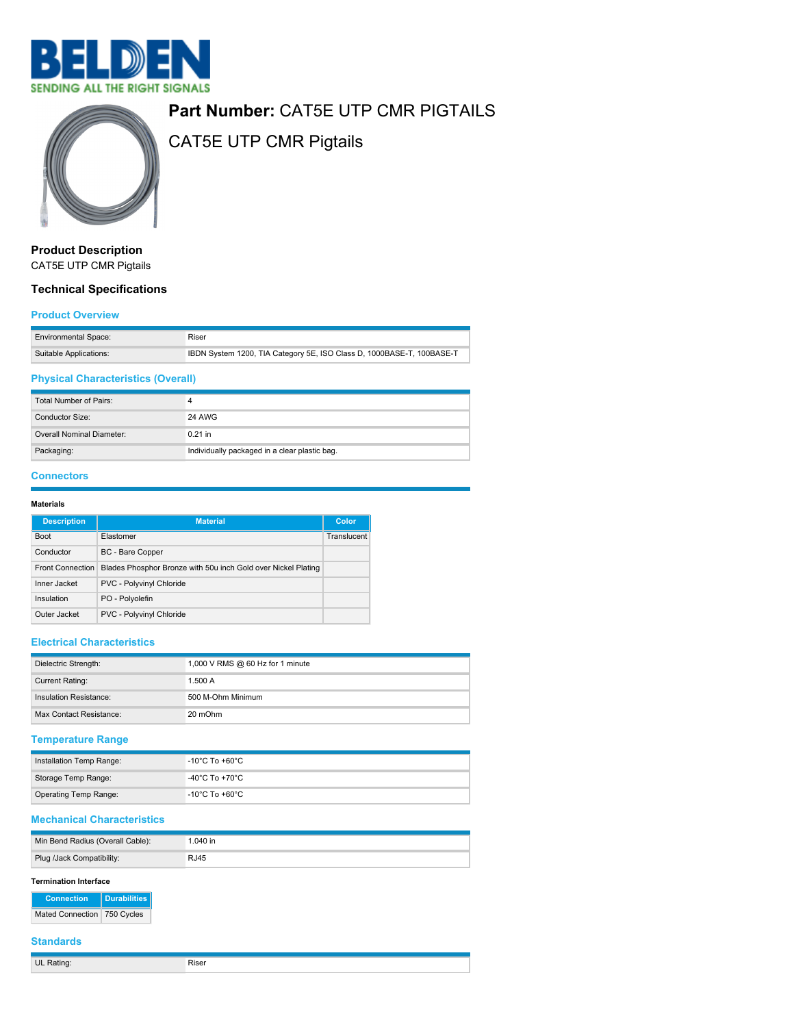



# **Part Number:** CAT5E UTP CMR PIGTAILS

CAT5E UTP CMR Pigtails

**Product Description** CAT5E UTP CMR Pigtails

## **Technical Specifications**

#### **Product Overview**

| <b>Environmental Space:</b> | Riser                                                                 |
|-----------------------------|-----------------------------------------------------------------------|
| Suitable Applications:      | IBDN System 1200, TIA Category 5E, ISO Class D, 1000BASE-T, 100BASE-T |

## **Physical Characteristics (Overall)**

| Total Number of Pairs:    |                                               |
|---------------------------|-----------------------------------------------|
| Conductor Size:           | 24 AWG                                        |
| Overall Nominal Diameter: | $0.21$ in                                     |
| Packaging:                | Individually packaged in a clear plastic bag. |

#### **Connectors**

#### **Materials**

| <b>Description</b> | <b>Material</b>                                               | Color       |
|--------------------|---------------------------------------------------------------|-------------|
| <b>Boot</b>        | Elastomer                                                     | Translucent |
| Conductor          | BC - Bare Copper                                              |             |
| Front Connection   | Blades Phosphor Bronze with 50u inch Gold over Nickel Plating |             |
| Inner Jacket       | PVC - Polyvinyl Chloride                                      |             |
| Insulation         | PO - Polyolefin                                               |             |
| Outer Jacket       | PVC - Polyvinyl Chloride                                      |             |

## **Electrical Characteristics**

| Dielectric Strength:    | 1,000 V RMS @ 60 Hz for 1 minute |
|-------------------------|----------------------------------|
| <b>Current Rating:</b>  | 1.500A                           |
| Insulation Resistance:  | 500 M-Ohm Minimum                |
| Max Contact Resistance: | 20 mOhm                          |

### **Temperature Range**

| Installation Temp Range:     | -10°C To +60°C |
|------------------------------|----------------|
| Storage Temp Range:          | -40°C To +70°C |
| <b>Operating Temp Range:</b> | -10°C To +60°C |

#### **Mechanical Characteristics**

| Min Bend Radius (Overall Cable): | 1.040 in    |
|----------------------------------|-------------|
| Plug /Jack Compatibility:        | <b>RJ45</b> |

#### **Termination Interface**

| <b>Connection</b>           | Durabilities |  |
|-----------------------------|--------------|--|
| Mated Connection 750 Cycles |              |  |

## **Standards**

**UL Rating:** Riser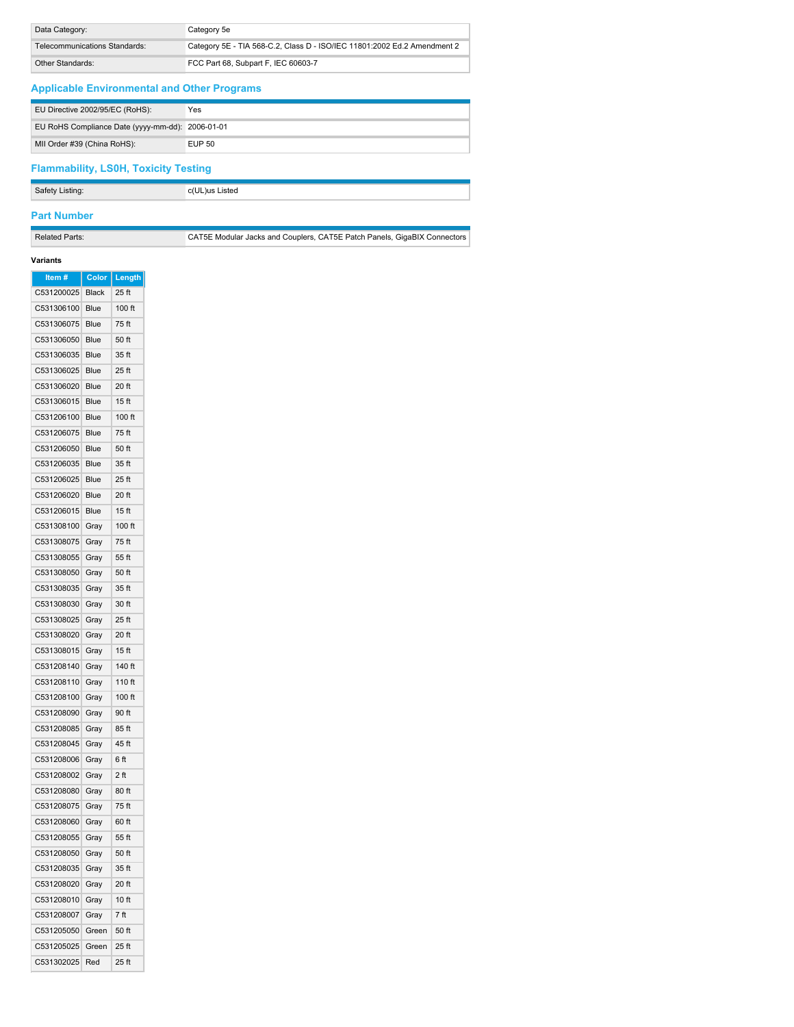| Data Category:                | Category 5e                                                              |
|-------------------------------|--------------------------------------------------------------------------|
| Telecommunications Standards: | Category 5E - TIA 568-C.2, Class D - ISO/IEC 11801:2002 Ed.2 Amendment 2 |
| Other Standards:              | FCC Part 68, Subpart F, IEC 60603-7                                      |

## **Applicable Environmental and Other Programs**

| EU Directive 2002/95/EC (RoHS):                  | Yes    |
|--------------------------------------------------|--------|
| EU RoHS Compliance Date (yyyy-mm-dd): 2006-01-01 |        |
| MII Order #39 (China RoHS):                      | EUP 50 |

## **Flammability, LS0H, Toxicity Testing**

**Safety Listing:** c(UL)us Listed

# **Part Number**

Related Parts: CAT5E Modular Jacks and Couplers, CAT5E Patch Panels, GigaBIX Connectors

#### **Variants**

| C531200025<br>25 ft<br><b>Black</b><br>C531306100<br>100 ft<br>Blue<br>C531306075<br>75 ft<br>Blue<br>C531306050<br>Blue<br>50 ft<br>C531306035<br>35 ft<br>Blue<br>C531306025<br>25 ft<br>Blue<br>C531306020<br>Blue<br>20 ft<br>C531306015<br>15 <sub>ft</sub><br>Blue<br>C531206100<br>100 ft<br>Blue<br>C531206075<br>75 ft<br>Blue<br>C531206050<br>Blue<br>50 ft<br>C531206035<br>35 ft<br>Blue<br>C531206025<br>25 ft<br>Blue<br>C531206020<br>Blue<br>20 ft<br>C531206015<br>Blue<br>15 <sub>ft</sub><br>C531308100<br>100 ft<br>Gray<br>C531308075<br>75 ft<br>Gray<br>C531308055<br>Gray<br>55 ft<br>C531308050<br>Gray<br>50 ft<br>C531308035<br>Gray<br>35 ft<br>C531308030<br>Gray<br>30 ft<br>C531308025<br>25 ft<br>Gray<br>C531308020<br>Gray<br>20 ft<br>C531308015<br>15 <sub>ft</sub><br>Gray<br>C531208140<br>140 ft<br>Gray<br>C531208110<br>110 ft<br>Gray<br>C531208100<br>100 ft<br>Gray<br>C531208090<br>90 ft<br>Gray<br>C531208085<br>Gray<br>85 ft<br>C531208045<br>45 ft<br>Gray<br>C531208006<br>6 ft<br>Gray<br>C531208002<br>Gray<br>2 ft<br>C531208080<br>80 ft<br>Gray<br>C531208075<br>75 ft<br>Gray<br>C531208060<br>60 ft<br>Gray<br>C531208055<br>55 ft<br>Gray<br>C531208050<br>Gray<br>50 ft<br>C531208035<br>35 ft<br>Gray<br>C531208020<br>Gray<br>20 ft<br>C531208010<br>10 ft<br>Gray<br>C531208007<br>7 ft<br>Gray<br>C531205050<br>50 ft<br>Green<br>C531205025<br>25 ft<br>Green<br>C531302025<br>25 ft<br>Red | Item # | Color | Length |
|---------------------------------------------------------------------------------------------------------------------------------------------------------------------------------------------------------------------------------------------------------------------------------------------------------------------------------------------------------------------------------------------------------------------------------------------------------------------------------------------------------------------------------------------------------------------------------------------------------------------------------------------------------------------------------------------------------------------------------------------------------------------------------------------------------------------------------------------------------------------------------------------------------------------------------------------------------------------------------------------------------------------------------------------------------------------------------------------------------------------------------------------------------------------------------------------------------------------------------------------------------------------------------------------------------------------------------------------------------------------------------------------------------------------------------------------------------------|--------|-------|--------|
|                                                                                                                                                                                                                                                                                                                                                                                                                                                                                                                                                                                                                                                                                                                                                                                                                                                                                                                                                                                                                                                                                                                                                                                                                                                                                                                                                                                                                                                               |        |       |        |
|                                                                                                                                                                                                                                                                                                                                                                                                                                                                                                                                                                                                                                                                                                                                                                                                                                                                                                                                                                                                                                                                                                                                                                                                                                                                                                                                                                                                                                                               |        |       |        |
|                                                                                                                                                                                                                                                                                                                                                                                                                                                                                                                                                                                                                                                                                                                                                                                                                                                                                                                                                                                                                                                                                                                                                                                                                                                                                                                                                                                                                                                               |        |       |        |
|                                                                                                                                                                                                                                                                                                                                                                                                                                                                                                                                                                                                                                                                                                                                                                                                                                                                                                                                                                                                                                                                                                                                                                                                                                                                                                                                                                                                                                                               |        |       |        |
|                                                                                                                                                                                                                                                                                                                                                                                                                                                                                                                                                                                                                                                                                                                                                                                                                                                                                                                                                                                                                                                                                                                                                                                                                                                                                                                                                                                                                                                               |        |       |        |
|                                                                                                                                                                                                                                                                                                                                                                                                                                                                                                                                                                                                                                                                                                                                                                                                                                                                                                                                                                                                                                                                                                                                                                                                                                                                                                                                                                                                                                                               |        |       |        |
|                                                                                                                                                                                                                                                                                                                                                                                                                                                                                                                                                                                                                                                                                                                                                                                                                                                                                                                                                                                                                                                                                                                                                                                                                                                                                                                                                                                                                                                               |        |       |        |
|                                                                                                                                                                                                                                                                                                                                                                                                                                                                                                                                                                                                                                                                                                                                                                                                                                                                                                                                                                                                                                                                                                                                                                                                                                                                                                                                                                                                                                                               |        |       |        |
|                                                                                                                                                                                                                                                                                                                                                                                                                                                                                                                                                                                                                                                                                                                                                                                                                                                                                                                                                                                                                                                                                                                                                                                                                                                                                                                                                                                                                                                               |        |       |        |
|                                                                                                                                                                                                                                                                                                                                                                                                                                                                                                                                                                                                                                                                                                                                                                                                                                                                                                                                                                                                                                                                                                                                                                                                                                                                                                                                                                                                                                                               |        |       |        |
|                                                                                                                                                                                                                                                                                                                                                                                                                                                                                                                                                                                                                                                                                                                                                                                                                                                                                                                                                                                                                                                                                                                                                                                                                                                                                                                                                                                                                                                               |        |       |        |
|                                                                                                                                                                                                                                                                                                                                                                                                                                                                                                                                                                                                                                                                                                                                                                                                                                                                                                                                                                                                                                                                                                                                                                                                                                                                                                                                                                                                                                                               |        |       |        |
|                                                                                                                                                                                                                                                                                                                                                                                                                                                                                                                                                                                                                                                                                                                                                                                                                                                                                                                                                                                                                                                                                                                                                                                                                                                                                                                                                                                                                                                               |        |       |        |
|                                                                                                                                                                                                                                                                                                                                                                                                                                                                                                                                                                                                                                                                                                                                                                                                                                                                                                                                                                                                                                                                                                                                                                                                                                                                                                                                                                                                                                                               |        |       |        |
|                                                                                                                                                                                                                                                                                                                                                                                                                                                                                                                                                                                                                                                                                                                                                                                                                                                                                                                                                                                                                                                                                                                                                                                                                                                                                                                                                                                                                                                               |        |       |        |
|                                                                                                                                                                                                                                                                                                                                                                                                                                                                                                                                                                                                                                                                                                                                                                                                                                                                                                                                                                                                                                                                                                                                                                                                                                                                                                                                                                                                                                                               |        |       |        |
|                                                                                                                                                                                                                                                                                                                                                                                                                                                                                                                                                                                                                                                                                                                                                                                                                                                                                                                                                                                                                                                                                                                                                                                                                                                                                                                                                                                                                                                               |        |       |        |
|                                                                                                                                                                                                                                                                                                                                                                                                                                                                                                                                                                                                                                                                                                                                                                                                                                                                                                                                                                                                                                                                                                                                                                                                                                                                                                                                                                                                                                                               |        |       |        |
|                                                                                                                                                                                                                                                                                                                                                                                                                                                                                                                                                                                                                                                                                                                                                                                                                                                                                                                                                                                                                                                                                                                                                                                                                                                                                                                                                                                                                                                               |        |       |        |
|                                                                                                                                                                                                                                                                                                                                                                                                                                                                                                                                                                                                                                                                                                                                                                                                                                                                                                                                                                                                                                                                                                                                                                                                                                                                                                                                                                                                                                                               |        |       |        |
|                                                                                                                                                                                                                                                                                                                                                                                                                                                                                                                                                                                                                                                                                                                                                                                                                                                                                                                                                                                                                                                                                                                                                                                                                                                                                                                                                                                                                                                               |        |       |        |
|                                                                                                                                                                                                                                                                                                                                                                                                                                                                                                                                                                                                                                                                                                                                                                                                                                                                                                                                                                                                                                                                                                                                                                                                                                                                                                                                                                                                                                                               |        |       |        |
|                                                                                                                                                                                                                                                                                                                                                                                                                                                                                                                                                                                                                                                                                                                                                                                                                                                                                                                                                                                                                                                                                                                                                                                                                                                                                                                                                                                                                                                               |        |       |        |
|                                                                                                                                                                                                                                                                                                                                                                                                                                                                                                                                                                                                                                                                                                                                                                                                                                                                                                                                                                                                                                                                                                                                                                                                                                                                                                                                                                                                                                                               |        |       |        |
|                                                                                                                                                                                                                                                                                                                                                                                                                                                                                                                                                                                                                                                                                                                                                                                                                                                                                                                                                                                                                                                                                                                                                                                                                                                                                                                                                                                                                                                               |        |       |        |
|                                                                                                                                                                                                                                                                                                                                                                                                                                                                                                                                                                                                                                                                                                                                                                                                                                                                                                                                                                                                                                                                                                                                                                                                                                                                                                                                                                                                                                                               |        |       |        |
|                                                                                                                                                                                                                                                                                                                                                                                                                                                                                                                                                                                                                                                                                                                                                                                                                                                                                                                                                                                                                                                                                                                                                                                                                                                                                                                                                                                                                                                               |        |       |        |
|                                                                                                                                                                                                                                                                                                                                                                                                                                                                                                                                                                                                                                                                                                                                                                                                                                                                                                                                                                                                                                                                                                                                                                                                                                                                                                                                                                                                                                                               |        |       |        |
|                                                                                                                                                                                                                                                                                                                                                                                                                                                                                                                                                                                                                                                                                                                                                                                                                                                                                                                                                                                                                                                                                                                                                                                                                                                                                                                                                                                                                                                               |        |       |        |
|                                                                                                                                                                                                                                                                                                                                                                                                                                                                                                                                                                                                                                                                                                                                                                                                                                                                                                                                                                                                                                                                                                                                                                                                                                                                                                                                                                                                                                                               |        |       |        |
|                                                                                                                                                                                                                                                                                                                                                                                                                                                                                                                                                                                                                                                                                                                                                                                                                                                                                                                                                                                                                                                                                                                                                                                                                                                                                                                                                                                                                                                               |        |       |        |
|                                                                                                                                                                                                                                                                                                                                                                                                                                                                                                                                                                                                                                                                                                                                                                                                                                                                                                                                                                                                                                                                                                                                                                                                                                                                                                                                                                                                                                                               |        |       |        |
|                                                                                                                                                                                                                                                                                                                                                                                                                                                                                                                                                                                                                                                                                                                                                                                                                                                                                                                                                                                                                                                                                                                                                                                                                                                                                                                                                                                                                                                               |        |       |        |
|                                                                                                                                                                                                                                                                                                                                                                                                                                                                                                                                                                                                                                                                                                                                                                                                                                                                                                                                                                                                                                                                                                                                                                                                                                                                                                                                                                                                                                                               |        |       |        |
|                                                                                                                                                                                                                                                                                                                                                                                                                                                                                                                                                                                                                                                                                                                                                                                                                                                                                                                                                                                                                                                                                                                                                                                                                                                                                                                                                                                                                                                               |        |       |        |
|                                                                                                                                                                                                                                                                                                                                                                                                                                                                                                                                                                                                                                                                                                                                                                                                                                                                                                                                                                                                                                                                                                                                                                                                                                                                                                                                                                                                                                                               |        |       |        |
|                                                                                                                                                                                                                                                                                                                                                                                                                                                                                                                                                                                                                                                                                                                                                                                                                                                                                                                                                                                                                                                                                                                                                                                                                                                                                                                                                                                                                                                               |        |       |        |
|                                                                                                                                                                                                                                                                                                                                                                                                                                                                                                                                                                                                                                                                                                                                                                                                                                                                                                                                                                                                                                                                                                                                                                                                                                                                                                                                                                                                                                                               |        |       |        |
|                                                                                                                                                                                                                                                                                                                                                                                                                                                                                                                                                                                                                                                                                                                                                                                                                                                                                                                                                                                                                                                                                                                                                                                                                                                                                                                                                                                                                                                               |        |       |        |
|                                                                                                                                                                                                                                                                                                                                                                                                                                                                                                                                                                                                                                                                                                                                                                                                                                                                                                                                                                                                                                                                                                                                                                                                                                                                                                                                                                                                                                                               |        |       |        |
|                                                                                                                                                                                                                                                                                                                                                                                                                                                                                                                                                                                                                                                                                                                                                                                                                                                                                                                                                                                                                                                                                                                                                                                                                                                                                                                                                                                                                                                               |        |       |        |
|                                                                                                                                                                                                                                                                                                                                                                                                                                                                                                                                                                                                                                                                                                                                                                                                                                                                                                                                                                                                                                                                                                                                                                                                                                                                                                                                                                                                                                                               |        |       |        |
|                                                                                                                                                                                                                                                                                                                                                                                                                                                                                                                                                                                                                                                                                                                                                                                                                                                                                                                                                                                                                                                                                                                                                                                                                                                                                                                                                                                                                                                               |        |       |        |
|                                                                                                                                                                                                                                                                                                                                                                                                                                                                                                                                                                                                                                                                                                                                                                                                                                                                                                                                                                                                                                                                                                                                                                                                                                                                                                                                                                                                                                                               |        |       |        |